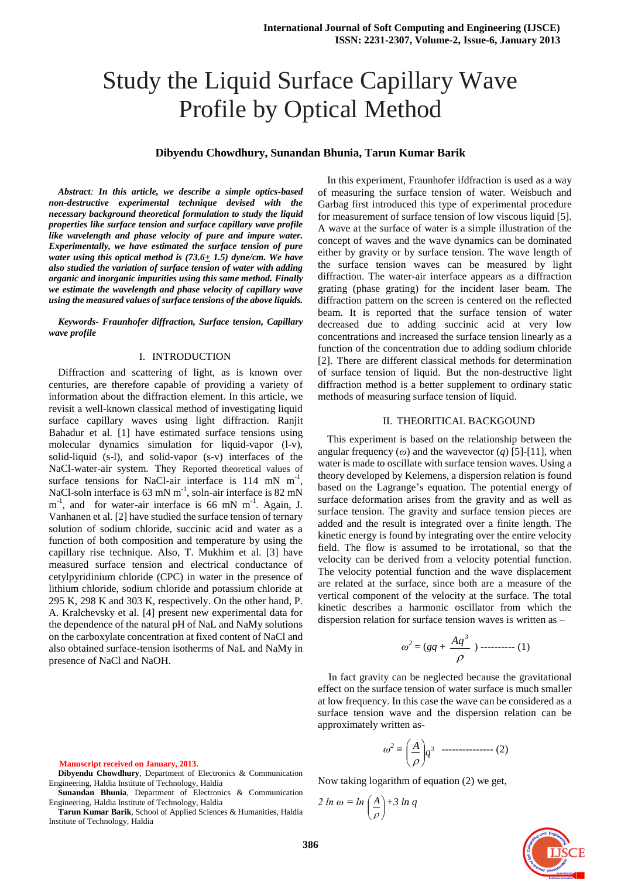# Study the Liquid Surface Capillary Wave Profile by Optical Method

# **Dibyendu Chowdhury, Sunandan Bhunia, Tarun Kumar Barik**

*Abstract: In this article, we describe a simple optics-based non-destructive experimental technique devised with the necessary background theoretical formulation to study the liquid properties like surface tension and surface capillary wave profile like wavelength and phase velocity of pure and impure water. Experimentally, we have estimated the surface tension of pure water using this optical method is (73.6+ 1.5) dyne/cm. We have also studied the variation of surface tension of water with adding organic and inorganic impurities using this same method. Finally we estimate the wavelength and phase velocity of capillary wave using the measured values of surface tensions of the above liquids.*

*Keywords- Fraunhofer diffraction, Surface tension, Capillary wave profile* 

#### I. INTRODUCTION

Diffraction and scattering of light, as is known over centuries, are therefore capable of providing a variety of information about the diffraction element. In this article, we revisit a well-known classical method of investigating liquid surface capillary waves using light diffraction. Ranjit Bahadur et al. [1] have estimated surface tensions using molecular dynamics simulation for liquid-vapor (l-v), solid-liquid (s-l), and solid-vapor (s-v) interfaces of the NaCl-water-air system. They Reported theoretical values of surface tensions for NaCl-air interface is  $114$  mN m<sup>-1</sup>, NaCl-soln interface is 63 mN  $m^{-1}$ , soln-air interface is 82 mN  $m^{-1}$ , and for water-air interface is 66 mN  $m^{-1}$ . Again, J. Vanhanen et al. [2] have studied the surface tension of ternary solution of sodium chloride, succinic acid and water as a function of both composition and temperature by using the capillary rise technique. Also, T. Mukhim et al. [3] have measured surface tension and electrical conductance of cetylpyridinium chloride (CPC) in water in the presence of lithium chloride, sodium chloride and potassium chloride at 295 K, 298 K and 303 K, respectively. On the other hand, P. A. Kralchevsky et al. [4] present new experimental data for the dependence of the natural pH of NaL and NaMy solutions on the carboxylate concentration at fixed content of NaCl and also obtained surface-tension isotherms of NaL and NaMy in presence of NaCl and NaOH.

In this experiment, Fraunhofer ifdfraction is used as a way of measuring the surface tension of water. Weisbuch and Garbag first introduced this type of experimental procedure for measurement of surface tension of low viscous liquid [5]. A wave at the surface of water is a simple illustration of the concept of waves and the wave dynamics can be dominated either by gravity or by surface tension. The wave length of the surface tension waves can be measured by light diffraction. The water-air interface appears as a diffraction grating (phase grating) for the incident laser beam. The diffraction pattern on the screen is centered on the reflected beam. It is reported that the surface tension of water decreased due to adding succinic acid at very low concentrations and increased the surface tension linearly as a function of the concentration due to adding sodium chloride [2]. There are different classical methods for determination of surface tension of liquid. But the non-destructive light diffraction method is a better supplement to ordinary static methods of measuring surface tension of liquid.

#### II. THEORITICAL BACKGOUND

This experiment is based on the relationship between the angular frequency  $(\omega)$  and the wavevector  $(q)$  [5]-[11], when water is made to oscillate with surface tension waves. Using a theory developed by Kelemens, a dispersion relation is found based on the Lagrange's equation. The potential energy of surface deformation arises from the gravity and as well as surface tension. The gravity and surface tension pieces are added and the result is integrated over a finite length. The kinetic energy is found by integrating over the entire velocity field. The flow is assumed to be irrotational, so that the velocity can be derived from a velocity potential function. The velocity potential function and the wave displacement are related at the surface, since both are a measure of the vertical component of the velocity at the surface. The total kinetic describes a harmonic oscillator from which the dispersion relation for surface tension waves is written as –

$$
\omega^2 = (gq + \frac{Aq^3}{\rho}) \ \cdots \ \cdots \ \cdots \ \ (1)
$$

In fact gravity can be neglected because the gravitational effect on the surface tension of water surface is much smaller at low frequency. In this case the wave can be considered as a surface tension wave and the dispersion relation can be approximately written as-

$$
\omega^2 = \left(\frac{A}{\rho}\right)q^3 \quad \text{---}
$$
 (2)

Now taking logarithm of equation (2) we get,

$$
2 \ln \omega = \ln \left( \frac{A}{\rho} \right) + 3 \ln q
$$



**Manuscript received on January, 2013.**

**Dibyendu Chowdhury**, Department of Electronics & Communication Engineering, Haldia Institute of Technology, Haldia

**Sunandan Bhunia**, Department of Electronics & Communication Engineering, Haldia Institute of Technology, Haldia

**Tarun Kumar Barik**, School of Applied Sciences & Humanities, Haldia Institute of Technology, Haldia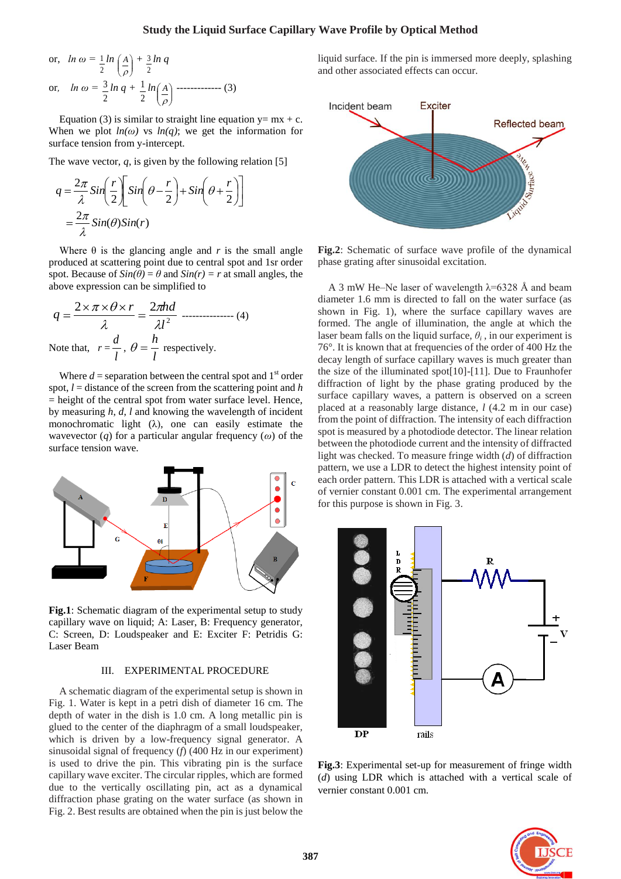# **Study the Liquid Surface Capillary Wave Profile by Optical Method**

or, 
$$
\ln \omega = \frac{1}{2} \ln \left( \frac{A}{\rho} \right) + \frac{3}{2} \ln q
$$
  
or,  $\ln \omega = \frac{3}{2} \ln q + \frac{1}{2} \ln \left( \frac{A}{\rho} \right)$  ----(3)

Equation (3) is similar to straight line equation  $y= mx + c$ . When we plot  $ln(\omega)$  vs  $ln(q)$ ; we get the information for surface tension from y-intercept.

The wave vector,  $q$ , is given by the following relation [5]

$$
q = \frac{2\pi}{\lambda} \sin\left(\frac{r}{2}\right) \sin\left(\theta - \frac{r}{2}\right) + \sin\left(\theta + \frac{r}{2}\right)
$$

$$
= \frac{2\pi}{\lambda} \sin(\theta) \sin(r)
$$

Where  $\theta$  is the glancing angle and *r* is the small angle produced at scattering point due to central spot and 1sr order spot. Because of  $Sin(\theta) = \theta$  and  $Sin(r) = r$  at small angles, the above expression can be simplified to

$$
q = \frac{2 \times \pi \times \theta \times r}{\lambda} = \frac{2\pi hd}{\lambda l^2}
$$
............ (4)  
Note that,  $r = \frac{d}{l}$ ,  $\theta = \frac{h}{l}$  respectively.

Where  $d =$  separation between the central spot and  $1<sup>st</sup>$  order spot, *l* = distance of the screen from the scattering point and *h* = height of the central spot from water surface level. Hence, by measuring *h*, *d*, *l* and knowing the wavelength of incident monochromatic light  $(\lambda)$ , one can easily estimate the wavevector (*q*) for a particular angular frequency (*ω*) of the surface tension wave.



**Fig.1**: Schematic diagram of the experimental setup to study capillary wave on liquid; A: Laser, B: Frequency generator, C: Screen, D: Loudspeaker and E: Exciter F: Petridis G: Laser Beam

#### III. EXPERIMENTAL PROCEDURE

A schematic diagram of the experimental setup is shown in Fig. 1. Water is kept in a petri dish of diameter 16 cm. The depth of water in the dish is 1.0 cm. A long metallic pin is glued to the center of the diaphragm of a small loudspeaker, which is driven by a low-frequency signal generator. A sinusoidal signal of frequency (*f*) (400 Hz in our experiment) is used to drive the pin. This vibrating pin is the surface capillary wave exciter. The circular ripples, which are formed due to the vertically oscillating pin, act as a dynamical diffraction phase grating on the water surface (as shown in Fig. 2. Best results are obtained when the pin is just below the liquid surface. If the pin is immersed more deeply, splashing and other associated effects can occur.



**Fig.2**: Schematic of surface wave profile of the dynamical phase grating after sinusoidal excitation.

A 3 mW He–Ne laser of wavelength  $\lambda$ =6328 Å and beam diameter 1.6 mm is directed to fall on the water surface (as shown in Fig. 1), where the surface capillary waves are formed. The angle of illumination, the angle at which the laser beam falls on the liquid surface,  $\theta$ <sup>*i*</sup>, in our experiment is 76°. It is known that at frequencies of the order of 400 Hz the decay length of surface capillary waves is much greater than the size of the illuminated spot[10]-[11]. Due to Fraunhofer diffraction of light by the phase grating produced by the surface capillary waves, a pattern is observed on a screen placed at a reasonably large distance, *l* (4.2 m in our case) from the point of diffraction. The intensity of each diffraction spot is measured by a photodiode detector. The linear relation between the photodiode current and the intensity of diffracted light was checked. To measure fringe width (*d*) of diffraction pattern, we use a LDR to detect the highest intensity point of each order pattern. This LDR is attached with a vertical scale of vernier constant 0.001 cm. The experimental arrangement for this purpose is shown in Fig. 3.



**Fig.3**: Experimental set-up for measurement of fringe width (*d*) using LDR which is attached with a vertical scale of vernier constant 0.001 cm.

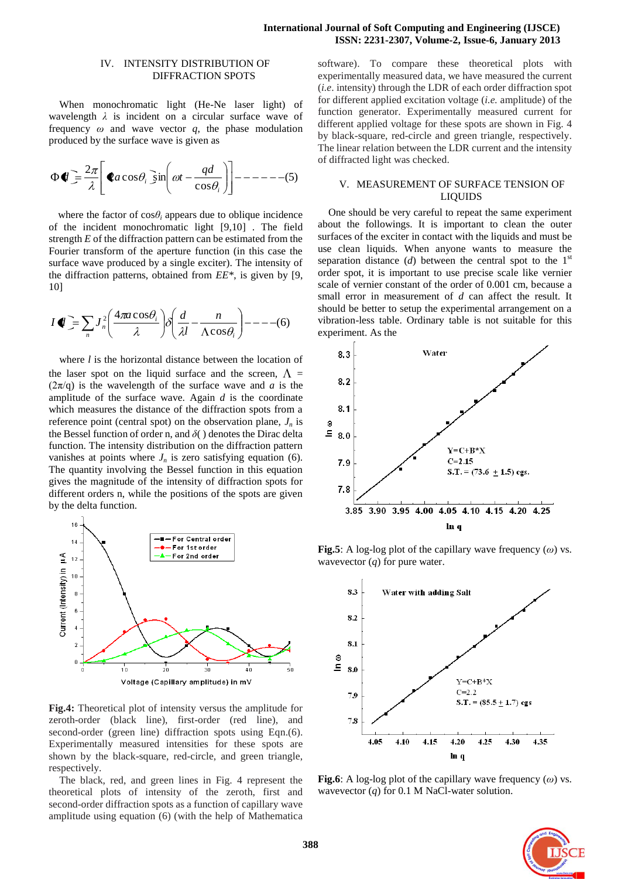## **International Journal of Soft Computing and Engineering (IJSCE) ISSN: 2231-2307, Volume-2, Issue-6, January 2013**

## IV. INTENSITY DISTRIBUTION OF DIFFRACTION SPOTS

When monochromatic light (He-Ne laser light) of wavelength *λ* is incident on a circular surface wave of frequency  $\omega$  and wave vector  $q$ , the phase modulation produced by the surface wave is given as

$$
\Phi \blacklozenge \mathbf{I} = \frac{2\pi}{\lambda} \Bigg[ \blacklozenge a \cos \theta_i \sin \Big( \omega t - \frac{qd}{\cos \theta_i} \Big) \Bigg] - \cdots - \cdots - \cdots - \cdots = -15
$$

where the factor of  $\cos\theta_i$  appears due to oblique incidence of the incident monochromatic light [9,10] . The field strength *E* of the diffraction pattern can be estimated from the Fourier transform of the aperture function (in this case the surface wave produced by a single exciter). The intensity of the diffraction patterns, obtained from *EE\**, is given by [9, 10]

$$
I \blacklozenge \sum_{n} J_n^2 \bigg( \frac{4\pi a \cos \theta_i}{\lambda} \bigg) \delta \bigg( \frac{d}{\lambda} - \frac{n}{\Lambda \cos \theta_i} \bigg) - \dots - (6)
$$

where *l* is the horizontal distance between the location of the laser spot on the liquid surface and the screen,  $\Lambda$  =  $(2\pi/q)$  is the wavelength of the surface wave and *a* is the amplitude of the surface wave. Again *d* is the coordinate which measures the distance of the diffraction spots from a reference point (central spot) on the observation plane, *J<sup>n</sup>* is the Bessel function of order n, and *δ*( ) denotes the Dirac delta function. The intensity distribution on the diffraction pattern vanishes at points where  $J_n$  is zero satisfying equation (6). The quantity involving the Bessel function in this equation gives the magnitude of the intensity of diffraction spots for different orders n, while the positions of the spots are given by the delta function.



**Fig.4:** Theoretical plot of intensity versus the amplitude for zeroth-order (black line), first-order (red line), and second-order (green line) diffraction spots using Eqn.(6). Experimentally measured intensities for these spots are shown by the black-square, red-circle, and green triangle, respectively.

The black, red, and green lines in Fig. 4 represent the theoretical plots of intensity of the zeroth, first and second-order diffraction spots as a function of capillary wave amplitude using equation (6) (with the help of Mathematica

software). To compare these theoretical plots with experimentally measured data, we have measured the current (*i.e*. intensity) through the LDR of each order diffraction spot for different applied excitation voltage (*i.e.* amplitude) of the function generator. Experimentally measured current for different applied voltage for these spots are shown in Fig. 4 by black-square, red-circle and green triangle, respectively. The linear relation between the LDR current and the intensity of diffracted light was checked.

# V. MEASUREMENT OF SURFACE TENSION OF LIQUIDS

One should be very careful to repeat the same experiment about the followings. It is important to clean the outer surfaces of the exciter in contact with the liquids and must be use clean liquids. When anyone wants to measure the separation distance (*d*) between the central spot to the  $1<sup>st</sup>$ order spot, it is important to use precise scale like vernier scale of vernier constant of the order of 0.001 cm, because a small error in measurement of *d* can affect the result. It should be better to setup the experimental arrangement on a vibration-less table. Ordinary table is not suitable for this experiment. As the



**Fig.5**: A log-log plot of the capillary wave frequency (*ω*) vs. wavevector (*q*) for pure water.



**Fig.6**: A log-log plot of the capillary wave frequency (*ω*) vs. wavevector (*q*) for 0.1 M NaCl-water solution.

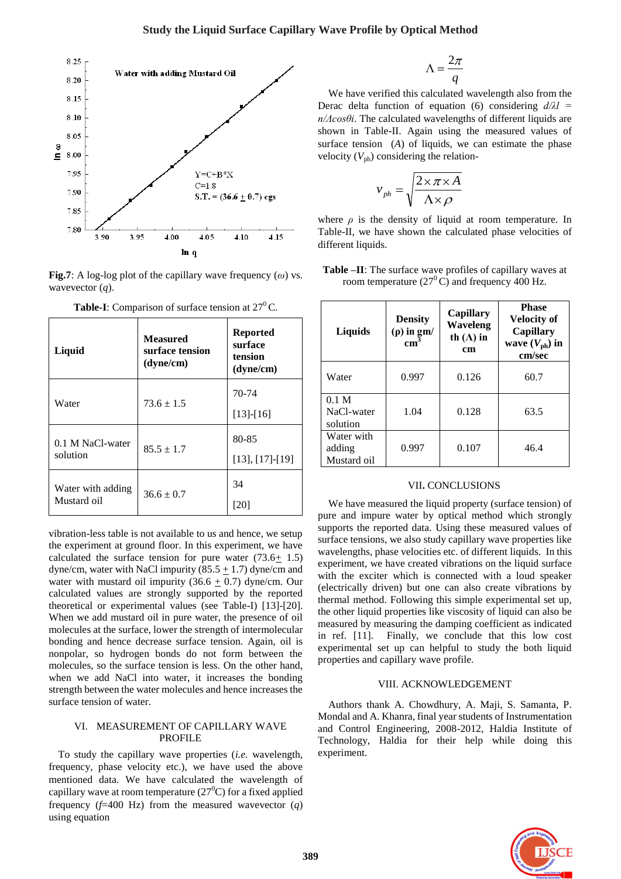

**Fig.7**: A log-log plot of the capillary wave frequency  $(\omega)$  vs. wavevector (*q*).

| Liquid                           | <b>Measured</b><br>surface tension<br>(dyne/cm) | <b>Reported</b><br>surface<br>tension<br>(dyne/cm) |
|----------------------------------|-------------------------------------------------|----------------------------------------------------|
| Water                            | $73.6 \pm 1.5$                                  | 70-74<br>$[13]-[16]$                               |
| 0.1 M NaCl-water<br>solution     | $85.5 \pm 1.7$                                  | 80-85<br>$[13], [17]-[19]$                         |
| Water with adding<br>Mustard oil | $36.6 \pm 0.7$                                  | 34<br>[20]                                         |

**Table-I**: Comparison of surface tension at  $27^{\circ}$ C.

vibration-less table is not available to us and hence, we setup the experiment at ground floor. In this experiment, we have calculated the surface tension for pure water  $(73.6 \pm 1.5)$ dyne/cm, water with NaCl impurity (85.5  $\pm$  1.7) dyne/cm and water with mustard oil impurity  $(36.6 \pm 0.7)$  dyne/cm. Our calculated values are strongly supported by the reported theoretical or experimental values (see Table-I) [13]-[20]. When we add mustard oil in pure water, the presence of oil molecules at the surface, lower the strength of intermolecular bonding and hence decrease surface tension. Again, oil is nonpolar, so hydrogen bonds do not form between the molecules, so the surface tension is less. On the other hand, when we add NaCl into water, it increases the bonding strength between the water molecules and hence increases the surface tension of water.

# VI. MEASUREMENT OF CAPILLARY WAVE PROFILE

To study the capillary wave properties (*i.e.* wavelength, frequency, phase velocity etc.), we have used the above mentioned data. We have calculated the wavelength of capillary wave at room temperature  $(27<sup>0</sup>C)$  for a fixed applied frequency (*f*=400 Hz) from the measured wavevector (*q*) using equation

$$
\Lambda = \frac{2\pi}{q}
$$

We have verified this calculated wavelength also from the Derac delta function of equation (6) considering *d/λl = n/Λcosθi*. The calculated wavelengths of different liquids are shown in Table-II. Again using the measured values of surface tension (*A*) of liquids, we can estimate the phase velocity  $(V_{\text{ph}})$  considering the relation-

$$
v_{ph} = \sqrt{\frac{2 \times \pi \times A}{\Lambda \times \rho}}
$$

where  $\rho$  is the density of liquid at room temperature. In Table-II, we have shown the calculated phase velocities of different liquids.

| Table -II: The surface wave profiles of capillary waves at |  |  |
|------------------------------------------------------------|--|--|
| room temperature $(27^{\circ}$ C) and frequency 400 Hz.    |  |  |

| Liquids                                    | <b>Density</b><br>$(\rho)$ in gm/<br>$\text{cm}^3$ | <b>Capillary</b><br><b>Waveleng</b><br>th $(\Lambda)$ in<br><b>cm</b> | <b>Phase</b><br><b>Velocity of</b><br><b>Capillary</b><br>wave $(V_{ph})$ in<br>cm/sec |
|--------------------------------------------|----------------------------------------------------|-----------------------------------------------------------------------|----------------------------------------------------------------------------------------|
| Water                                      | 0.997                                              | 0.126                                                                 | 60.7                                                                                   |
| 0.1 <sub>M</sub><br>NaCl-water<br>solution | 1.04                                               | 0.128                                                                 | 63.5                                                                                   |
| Water with<br>adding<br>Mustard oil        | 0.997                                              | 0.107                                                                 | 46.4                                                                                   |

### VII**.** CONCLUSIONS

We have measured the liquid property (surface tension) of pure and impure water by optical method which strongly supports the reported data. Using these measured values of surface tensions, we also study capillary wave properties like wavelengths, phase velocities etc. of different liquids. In this experiment, we have created vibrations on the liquid surface with the exciter which is connected with a loud speaker (electrically driven) but one can also create vibrations by thermal method. Following this simple experimental set up, the other liquid properties like viscosity of liquid can also be measured by measuring the damping coefficient as indicated in ref. [11]. Finally, we conclude that this low cost experimental set up can helpful to study the both liquid properties and capillary wave profile.

### VIII. ACKNOWLEDGEMENT

Authors thank A. Chowdhury, A. Maji, S. Samanta, P. Mondal and A. Khanra, final year students of Instrumentation and Control Engineering, 2008-2012, Haldia Institute of Technology, Haldia for their help while doing this experiment.